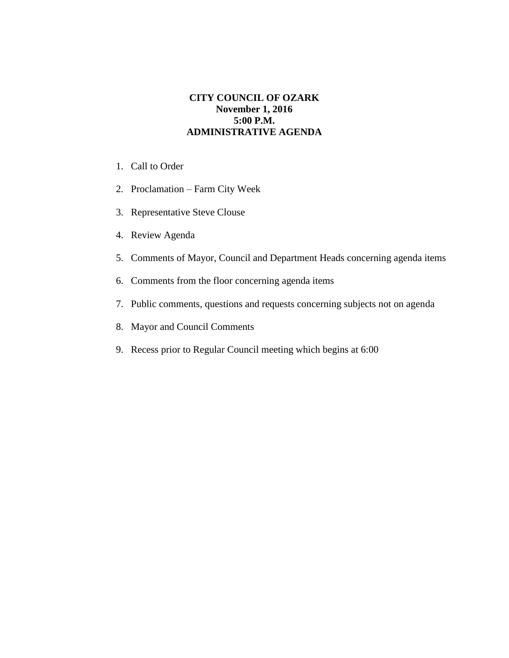## **CITY COUNCIL OF OZARK November 1, 2016 5:00 P.M. ADMINISTRATIVE AGENDA**

- 1. Call to Order
- 2. Proclamation Farm City Week
- 3. Representative Steve Clouse
- 4. Review Agenda
- 5. Comments of Mayor, Council and Department Heads concerning agenda items
- 6. Comments from the floor concerning agenda items
- 7. Public comments, questions and requests concerning subjects not on agenda
- 8. Mayor and Council Comments
- 9. Recess prior to Regular Council meeting which begins at 6:00